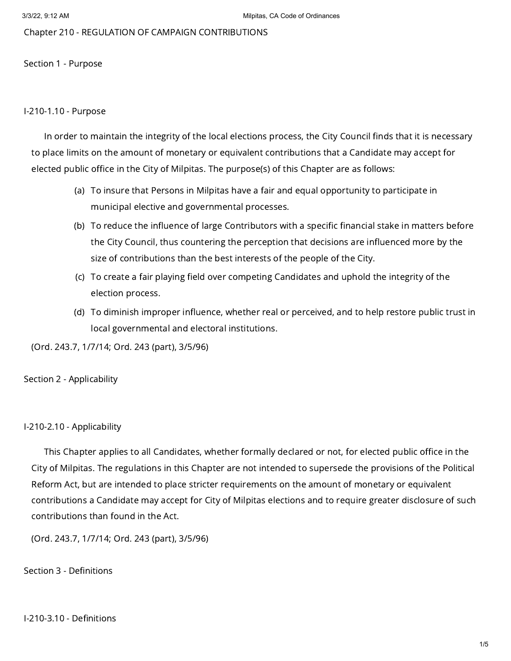Chapter 210 - REGULATION OF CAMPAIGN CONTRIBUTIONS

Section 1 - Purpose

### I-210-1.10 - Purpose

In order to maintain the integrity of the local elections process, the City Council finds that it is necessary to place limits on the amount of monetary or equivalent contributions that a Candidate may accept for elected public office in the City of Milpitas. The purpose(s) of this Chapter are as follows:

- (a) To insure that Persons in Milpitas have a fair and equal opportunity to participate in municipal elective and governmental processes.
- (b) To reduce the influence of large Contributors with a specific financial stake in matters before the City Council, thus countering the perception that decisions are influenced more by the size of contributions than the best interests of the people of the City.
- (c) To create a fair playing field over competing Candidates and uphold the integrity of the election process.
- (d) To diminish improper influence, whether real or perceived, and to help restore public trust in local governmental and electoral institutions.

(Ord. 243.7, 1/7/14; Ord. 243 (part), 3/5/96)

Section 2 - Applicability

#### I-210-2.10 - Applicability

This Chapter applies to all Candidates, whether formally declared or not, for elected public office in the City of Milpitas. The regulations in this Chapter are not intended to supersede the provisions of the Political Reform Act, but are intended to place stricter requirements on the amount of monetary or equivalent contributions a Candidate may accept for City of Milpitas elections and to require greater disclosure of such contributions than found in the Act.

(Ord. 243.7, 1/7/14; Ord. 243 (part), 3/5/96)

### Section 3 - Definitions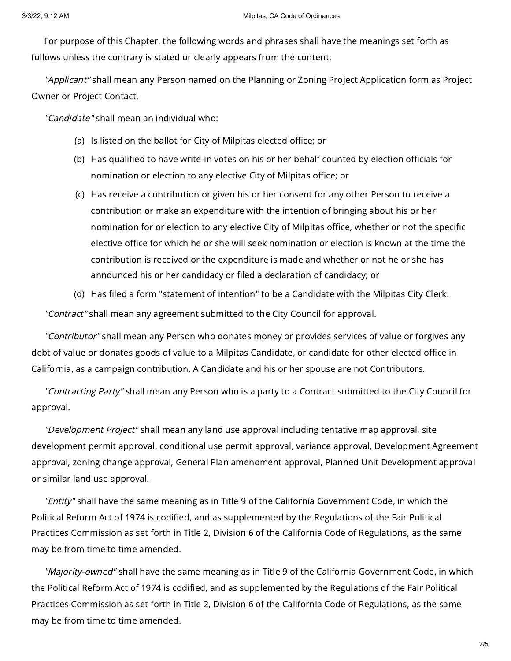For purpose of this Chapter, the following words and phrases shall have the meanings set forth as follows unless the contrary is stated or clearly appears from the content:

"Applicant" shall mean any Person named on the Planning or Zoning Project Application form as Project Owner or Project Contact.

"Candidate" shall mean an individual who:

- (a) Is listed on the ballot for City of Milpitas elected office; or
- (b) Has qualified to have write-in votes on his or her behalf counted by election officials for nomination or election to any elective City of Milpitas office; or
- (c) Has receive a contribution or given his or her consent for any other Person to receive a contribution or make an expenditure with the intention of bringing about his or her nomination for or election to any elective City of Milpitas office, whether or not the specific elective office for which he or she will seek nomination or election is known at the time the contribution is received or the expenditure is made and whether or not he or she has announced his or her candidacy or filed a declaration of candidacy; or
- (d) Has filed a form "statement of intention" to be a Candidate with the Milpitas City Clerk.

"Contract" shall mean any agreement submitted to the City Council for approval.

"Contributor" shall mean any Person who donates money or provides services of value or forgives any debt of value or donates goods of value to a Milpitas Candidate, or candidate for other elected office in California, as a campaign contribution. A Candidate and his or her spouse are not Contributors.

"Contracting Party" shall mean any Person who is a party to a Contract submitted to the City Council for approval.

"Development Project" shall mean any land use approval including tentative map approval, site development permit approval, conditional use permit approval, variance approval, Development Agreement approval, zoning change approval, General Plan amendment approval, Planned Unit Development approval or similar land use approval.

"Entity" shall have the same meaning as in Title 9 of the California Government Code, in which the Political Reform Act of 1974 is codified, and as supplemented by the Regulations of the Fair Political Practices Commission as set forth in Title 2, Division 6 of the California Code of Regulations, as the same may be from time to time amended.

"Majority-owned" shall have the same meaning as in Title 9 of the California Government Code, in which the Political Reform Act of 1974 is codified, and as supplemented by the Regulations of the Fair Political Practices Commission as set forth in Title 2, Division 6 of the California Code of Regulations, as the same may be from time to time amended.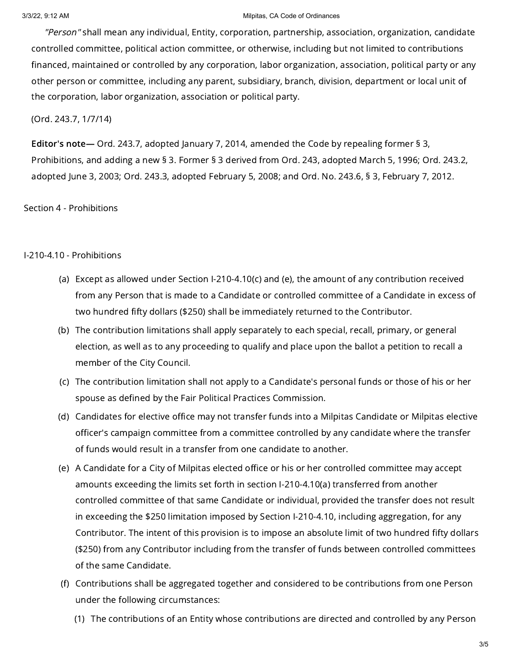#### 3/3/22, 9:12 AM **Millipitas, CA Code of Ordinances**

"Person" shall mean any individual, Entity, corporation, partnership, association, organization, candidate controlled committee, political action committee, or otherwise, including but not limited to contributions financed, maintained or controlled by any corporation, labor organization, association, political party or any other person or committee, including any parent, subsidiary, branch, division, department or local unit of the corporation, labor organization, association or political party.

(Ord. 243.7, 1/7/14)

Editor's note— Ord. 243.7, adopted January 7, 2014, amended the Code by repealing former § 3, Prohibitions, and adding a new § 3. Former § 3 derived from Ord. 243, adopted March 5, 1996; Ord. 243.2, adopted June 3, 2003; Ord. 243.3, adopted February 5, 2008; and Ord. No. 243.6, § 3, February 7, 2012.

Section 4 - Prohibitions

# I-210-4.10 - Prohibitions

- (a) Except as allowed under Section I-210-4.10(c) and (e), the amount of any contribution received from any Person that is made to a Candidate or controlled committee of a Candidate in excess of two hundred fifty dollars (\$250) shall be immediately returned to the Contributor.
- (b) The contribution limitations shall apply separately to each special, recall, primary, or general election, as well as to any proceeding to qualify and place upon the ballot a petition to recall a member of the City Council.
- (c) The contribution limitation shall not apply to a Candidate's personal funds or those of his or her spouse as defined by the Fair Political Practices Commission.
- (d) Candidates for elective office may not transfer funds into a Milpitas Candidate or Milpitas elective officer's campaign committee from a committee controlled by any candidate where the transfer of funds would result in a transfer from one candidate to another.
- (e) A Candidate for a City of Milpitas elected office or his or her controlled committee may accept amounts exceeding the limits set forth in section I-210-4.10(a) transferred from another controlled committee of that same Candidate or individual, provided the transfer does not result in exceeding the \$250 limitation imposed by Section I-210-4.10, including aggregation, for any Contributor. The intent of this provision is to impose an absolute limit of two hundred fifty dollars (\$250) from any Contributor including from the transfer of funds between controlled committees of the same Candidate.
- (f) Contributions shall be aggregated together and considered to be contributions from one Person under the following circumstances:
	- (1) The contributions of an Entity whose contributions are directed and controlled by any Person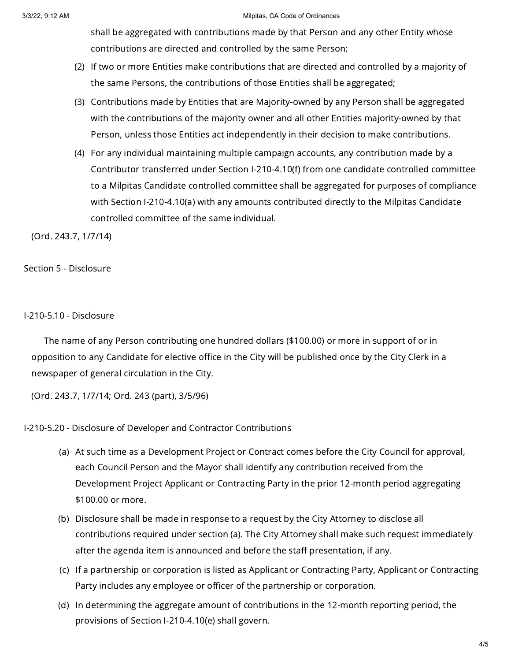#### 3/3/22, 9:12 AM Milpitas, CA Code of Ordinances

shall be aggregated with contributions made by that Person and any other Entity whose contributions are directed and controlled by the same Person;

- (2) If two or more Entities make contributions that are directed and controlled by a majority of the same Persons, the contributions of those Entities shall be aggregated;
- (3) Contributions made by Entities that are Majority-owned by any Person shall be aggregated with the contributions of the majority owner and all other Entities majority-owned by that Person, unless those Entities act independently in their decision to make contributions.
- (4) For any individual maintaining multiple campaign accounts, any contribution made by a Contributor transferred under Section I-210-4.10(f) from one candidate controlled committee to a Milpitas Candidate controlled committee shall be aggregated for purposes of compliance with Section I-210-4.10(a) with any amounts contributed directly to the Milpitas Candidate controlled committee of the same individual.

(Ord. 243.7, 1/7/14)

# Section 5 - Disclosure

### I-210-5.10 - Disclosure

The name of any Person contributing one hundred dollars (\$100.00) or more in support of or in opposition to any Candidate for elective office in the City will be published once by the City Clerk in a newspaper of general circulation in the City.

(Ord. 243.7, 1/7/14; Ord. 243 (part), 3/5/96)

# I-210-5.20 - Disclosure of Developer and Contractor Contributions

- (a) At such time as a Development Project or Contract comes before the City Council for approval, each Council Person and the Mayor shall identify any contribution received from the Development Project Applicant or Contracting Party in the prior 12-month period aggregating \$100.00 or more.
- (b) Disclosure shall be made in response to a request by the City Attorney to disclose all contributions required under section (a). The City Attorney shall make such request immediately after the agenda item is announced and before the staff presentation, if any.
- (c) If a partnership or corporation is listed as Applicant or Contracting Party, Applicant or Contracting Party includes any employee or officer of the partnership or corporation.
- (d) In determining the aggregate amount of contributions in the 12-month reporting period, the provisions of Section I-210-4.10(e) shall govern.